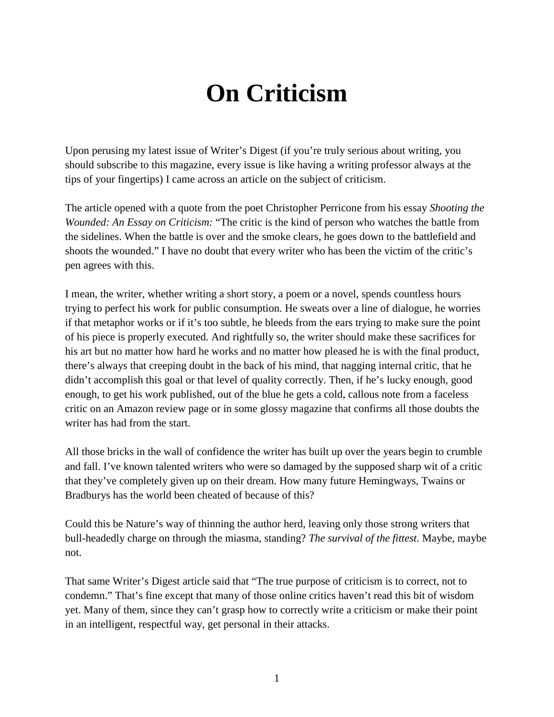## **On Criticism**

Upon perusing my latest issue of Writer's Digest (if you're truly serious about writing, you should subscribe to this magazine, every issue is like having a writing professor always at the tips of your fingertips) I came across an article on the subject of criticism.

The article opened with a quote from the poet Christopher Perricone from his essay *Shooting the Wounded: An Essay on Criticism:* "The critic is the kind of person who watches the battle from the sidelines. When the battle is over and the smoke clears, he goes down to the battlefield and shoots the wounded." I have no doubt that every writer who has been the victim of the critic's pen agrees with this.

I mean, the writer, whether writing a short story, a poem or a novel, spends countless hours trying to perfect his work for public consumption. He sweats over a line of dialogue, he worries if that metaphor works or if it's too subtle, he bleeds from the ears trying to make sure the point of his piece is properly executed. And rightfully so, the writer should make these sacrifices for his art but no matter how hard he works and no matter how pleased he is with the final product, there's always that creeping doubt in the back of his mind, that nagging internal critic, that he didn't accomplish this goal or that level of quality correctly. Then, if he's lucky enough, good enough, to get his work published, out of the blue he gets a cold, callous note from a faceless critic on an Amazon review page or in some glossy magazine that confirms all those doubts the writer has had from the start.

All those bricks in the wall of confidence the writer has built up over the years begin to crumble and fall. I've known talented writers who were so damaged by the supposed sharp wit of a critic that they've completely given up on their dream. How many future Hemingways, Twains or Bradburys has the world been cheated of because of this?

Could this be Nature's way of thinning the author herd, leaving only those strong writers that bull-headedly charge on through the miasma, standing? *The survival of the fittest.* Maybe, maybe not.

That same Writer's Digest article said that "The true purpose of criticism is to correct, not to condemn." That's fine except that many of those online critics haven't read this bit of wisdom yet. Many of them, since they can't grasp how to correctly write a criticism or make their point in an intelligent, respectful way, get personal in their attacks.